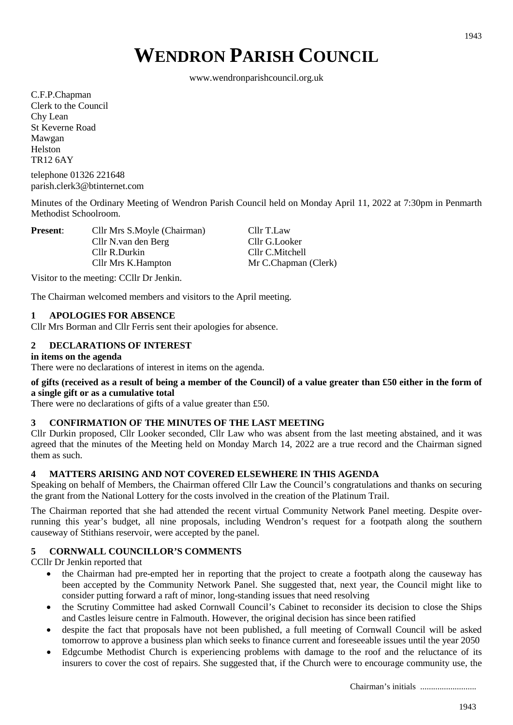# **WENDRON PARISH COUNCIL**

www.wendronparishcouncil.org.uk

C.F.P.Chapman Clerk to the Council Chy Lean St Keverne Road Mawgan Helston TR12 6AY

telephone 01326 221648 parish.clerk3@btinternet.com

Minutes of the Ordinary Meeting of Wendron Parish Council held on Monday April 11, 2022 at 7:30pm in Penmarth Methodist Schoolroom.

**Present:** Cllr Mrs S.Moyle (Chairman) Cllr T.Law Cllr N.van den Berg Cllr G.Looker Cllr R.Durkin Cllr C.Mitchell Cllr Mrs K.Hampton Mr C.Chapman (Clerk)

Visitor to the meeting: CCllr Dr Jenkin.

The Chairman welcomed members and visitors to the April meeting.

#### **1 APOLOGIES FOR ABSENCE**

Cllr Mrs Borman and Cllr Ferris sent their apologies for absence.

## **2 DECLARATIONS OF INTEREST**

#### **in items on the agenda**

There were no declarations of interest in items on the agenda.

#### **of gifts (received as a result of being a member of the Council) of a value greater than £50 either in the form of a single gift or as a cumulative total**

There were no declarations of gifts of a value greater than £50.

#### **3 CONFIRMATION OF THE MINUTES OF THE LAST MEETING**

Cllr Durkin proposed, Cllr Looker seconded, Cllr Law who was absent from the last meeting abstained, and it was agreed that the minutes of the Meeting held on Monday March 14, 2022 are a true record and the Chairman signed them as such.

#### **4 MATTERS ARISING AND NOT COVERED ELSEWHERE IN THIS AGENDA**

Speaking on behalf of Members, the Chairman offered Cllr Law the Council's congratulations and thanks on securing the grant from the National Lottery for the costs involved in the creation of the Platinum Trail.

The Chairman reported that she had attended the recent virtual Community Network Panel meeting. Despite overrunning this year's budget, all nine proposals, including Wendron's request for a footpath along the southern causeway of Stithians reservoir, were accepted by the panel.

#### **5 CORNWALL COUNCILLOR'S COMMENTS**

CCllr Dr Jenkin reported that

- the Chairman had pre-empted her in reporting that the project to create a footpath along the causeway has been accepted by the Community Network Panel. She suggested that, next year, the Council might like to consider putting forward a raft of minor, long-standing issues that need resolving
- the Scrutiny Committee had asked Cornwall Council's Cabinet to reconsider its decision to close the Ships and Castles leisure centre in Falmouth. However, the original decision has since been ratified
- despite the fact that proposals have not been published, a full meeting of Cornwall Council will be asked tomorrow to approve a business plan which seeks to finance current and foreseeable issues until the year 2050
- Edgcumbe Methodist Church is experiencing problems with damage to the roof and the reluctance of its insurers to cover the cost of repairs. She suggested that, if the Church were to encourage community use, the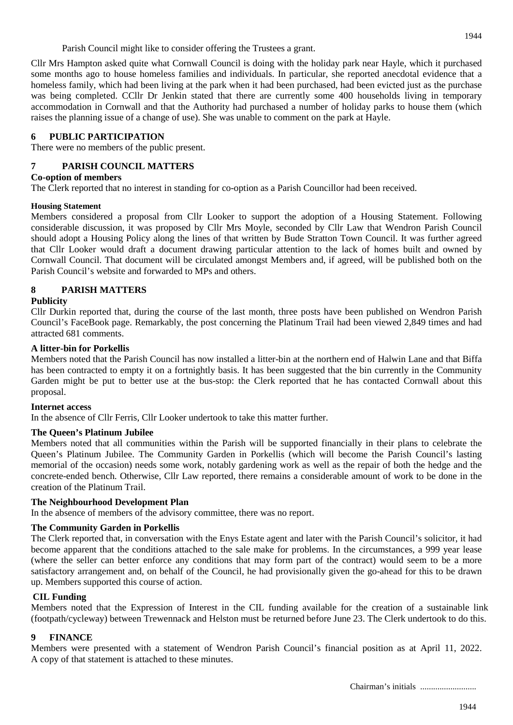Parish Council might like to consider offering the Trustees a grant.

Cllr Mrs Hampton asked quite what Cornwall Council is doing with the holiday park near Hayle, which it purchased some months ago to house homeless families and individuals. In particular, she reported anecdotal evidence that a homeless family, which had been living at the park when it had been purchased, had been evicted just as the purchase was being completed. CCllr Dr Jenkin stated that there are currently some 400 households living in temporary accommodation in Cornwall and that the Authority had purchased a number of holiday parks to house them (which raises the planning issue of a change of use). She was unable to comment on the park at Hayle.

## **6 PUBLIC PARTICIPATION**

There were no members of the public present.

# **7 PARISH COUNCIL MATTERS**

#### **Co-option of members**

The Clerk reported that no interest in standing for co-option as a Parish Councillor had been received.

#### **Housing Statement**

Members considered a proposal from Cllr Looker to support the adoption of a Housing Statement. Following considerable discussion, it was proposed by Cllr Mrs Moyle, seconded by Cllr Law that Wendron Parish Council should adopt a Housing Policy along the lines of that written by Bude Stratton Town Council. It was further agreed that Cllr Looker would draft a document drawing particular attention to the lack of homes built and owned by Cornwall Council. That document will be circulated amongst Members and, if agreed, will be published both on the Parish Council's website and forwarded to MPs and others.

# **8 PARISH MATTERS**

## **Publicity**

Cllr Durkin reported that, during the course of the last month, three posts have been published on Wendron Parish Council's FaceBook page. Remarkably, the post concerning the Platinum Trail had been viewed 2,849 times and had attracted 681 comments.

#### **A litter-bin for Porkellis**

Members noted that the Parish Council has now installed a litter-bin at the northern end of Halwin Lane and that Biffa has been contracted to empty it on a fortnightly basis. It has been suggested that the bin currently in the Community Garden might be put to better use at the bus-stop: the Clerk reported that he has contacted Cornwall about this proposal.

#### **Internet access**

In the absence of Cllr Ferris, Cllr Looker undertook to take this matter further.

#### **The Queen's Platinum Jubilee**

Members noted that all communities within the Parish will be supported financially in their plans to celebrate the Queen's Platinum Jubilee. The Community Garden in Porkellis (which will become the Parish Council's lasting memorial of the occasion) needs some work, notably gardening work as well as the repair of both the hedge and the concrete-ended bench. Otherwise, Cllr Law reported, there remains a considerable amount of work to be done in the creation of the Platinum Trail.

#### **The Neighbourhood Development Plan**

In the absence of members of the advisory committee, there was no report.

#### **The Community Garden in Porkellis**

The Clerk reported that, in conversation with the Enys Estate agent and later with the Parish Council's solicitor, it had become apparent that the conditions attached to the sale make for problems. In the circumstances, a 999 year lease (where the seller can better enforce any conditions that may form part of the contract) would seem to be a more satisfactory arrangement and, on behalf of the Council, he had provisionally given the go-ahead for this to be drawn up. Members supported this course of action.

#### **CIL Funding**

Members noted that the Expression of Interest in the CIL funding available for the creation of a sustainable link (footpath/cycleway) between Trewennack and Helston must be returned before June 23. The Clerk undertook to do this.

#### **9 FINANCE**

Members were presented with a statement of Wendron Parish Council's financial position as at April 11, 2022. A copy of that statement is attached to these minutes.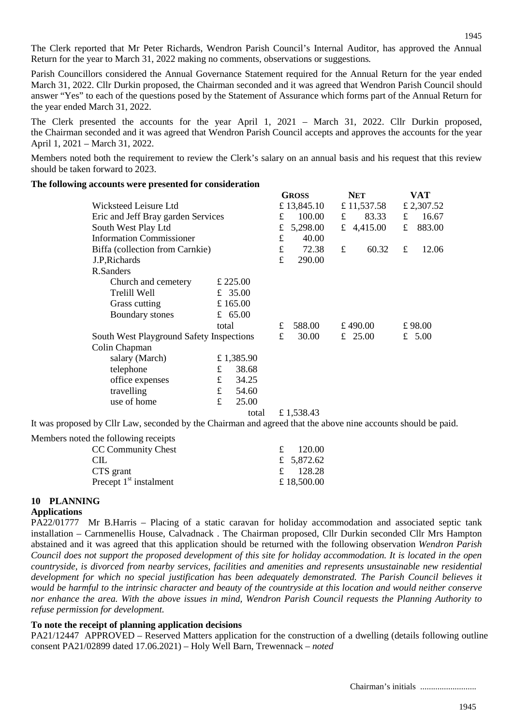The Clerk reported that Mr Peter Richards, Wendron Parish Council's Internal Auditor, has approved the Annual Return for the year to March 31, 2022 making no comments, observations or suggestions*.*

Parish Councillors considered the Annual Governance Statement required for the Annual Return for the year ended March 31, 2022. Cllr Durkin proposed, the Chairman seconded and it was agreed that Wendron Parish Council should answer "Yes" to each of the questions posed by the Statement of Assurance which forms part of the Annual Return for the year ended March 31, 2022.

The Clerk presented the accounts for the year April 1, 2021 – March 31, 2022. Cllr Durkin proposed, the Chairman seconded and it was agreed that Wendron Parish Council accepts and approves the accounts for the year April 1, 2021 – March 31, 2022.

Members noted both the requirement to review the Clerk's salary on an annual basis and his request that this review should be taken forward to 2023.

#### **The following accounts were presented for consideration**

|                                          |   | <b>GROSS</b> |           | <b>NET</b>  |   | VAT         |        |            |
|------------------------------------------|---|--------------|-----------|-------------|---|-------------|--------|------------|
| Wicksteed Leisure Ltd                    |   |              |           | £ 13,845.10 |   | £ 11,537.58 |        | £ 2,307.52 |
| Eric and Jeff Bray garden Services       |   |              | £         | 100.00      | £ | 83.33       | £      | 16.67      |
| South West Play Ltd                      |   |              | £         | 5,298.00    | £ | 4,415.00    | £      | 883.00     |
| <b>Information Commissioner</b>          |   |              | $\pounds$ | 40.00       |   |             |        |            |
| Biffa (collection from Carnkie)          |   |              | $\pounds$ | 72.38       | £ | 60.32       | £      | 12.06      |
| J.P, Richards                            |   |              | £         | 290.00      |   |             |        |            |
| R.Sanders                                |   |              |           |             |   |             |        |            |
| Church and cemetery                      |   | £ 225.00     |           |             |   |             |        |            |
| Trelill Well                             |   | £ 35.00      |           |             |   |             |        |            |
| Grass cutting                            |   | £ $165.00$   |           |             |   |             |        |            |
| Boundary stones                          |   | £ $65.00$    |           |             |   |             |        |            |
|                                          |   | total        |           | 588.00      |   | £490.00     | £98.00 |            |
| South West Playground Safety Inspections |   |              | £         | 30.00       |   | £ 25.00     |        | £ $5.00$   |
| Colin Chapman                            |   |              |           |             |   |             |        |            |
| salary (March)                           |   | £ 1,385.90   |           |             |   |             |        |            |
| telephone                                | £ | 38.68        |           |             |   |             |        |            |
| office expenses                          | £ | 34.25        |           |             |   |             |        |            |
| travelling                               | £ | 54.60        |           |             |   |             |        |            |
| use of home                              | £ | 25.00        |           |             |   |             |        |            |
|                                          |   | total        |           | £1.538.43   |   |             |        |            |

It was proposed by Cllr Law, seconded by the Chairman and agreed that the above nine accounts should be paid.

| Members noted the following receipts |             |
|--------------------------------------|-------------|
| CC Community Chest                   | 120.00      |
| CIL.                                 | £ 5,872.62  |
| CTS grant                            | £ $128.28$  |
| Precept $1st$ instalment             | £ 18,500.00 |

# **10 PLANNING**

#### **Applications**

PA22/01777 Mr B.Harris – Placing of a static caravan for holiday accommodation and associated septic tank installation – Carnmenellis House, Calvadnack . The Chairman proposed, Cllr Durkin seconded Cllr Mrs Hampton abstained and it was agreed that this application should be returned with the following observation *Wendron Parish Council does not support the proposed development of this site for holiday accommodation. It is located in the open countryside, is divorced from nearby services, facilities and amenities and represents unsustainable new residential development for which no special justification has been adequately demonstrated. The Parish Council believes it would be harmful to the intrinsic character and beauty of the countryside at this location and would neither conserve nor enhance the area. With the above issues in mind, Wendron Parish Council requests the Planning Authority to refuse permission for development.*

#### **To note the receipt of planning application decisions**

PA21/12447 APPROVED – Reserved Matters application for the construction of a dwelling (details following outline consent PA21/02899 dated 17.06.2021) – Holy Well Barn, Trewennack – *noted*